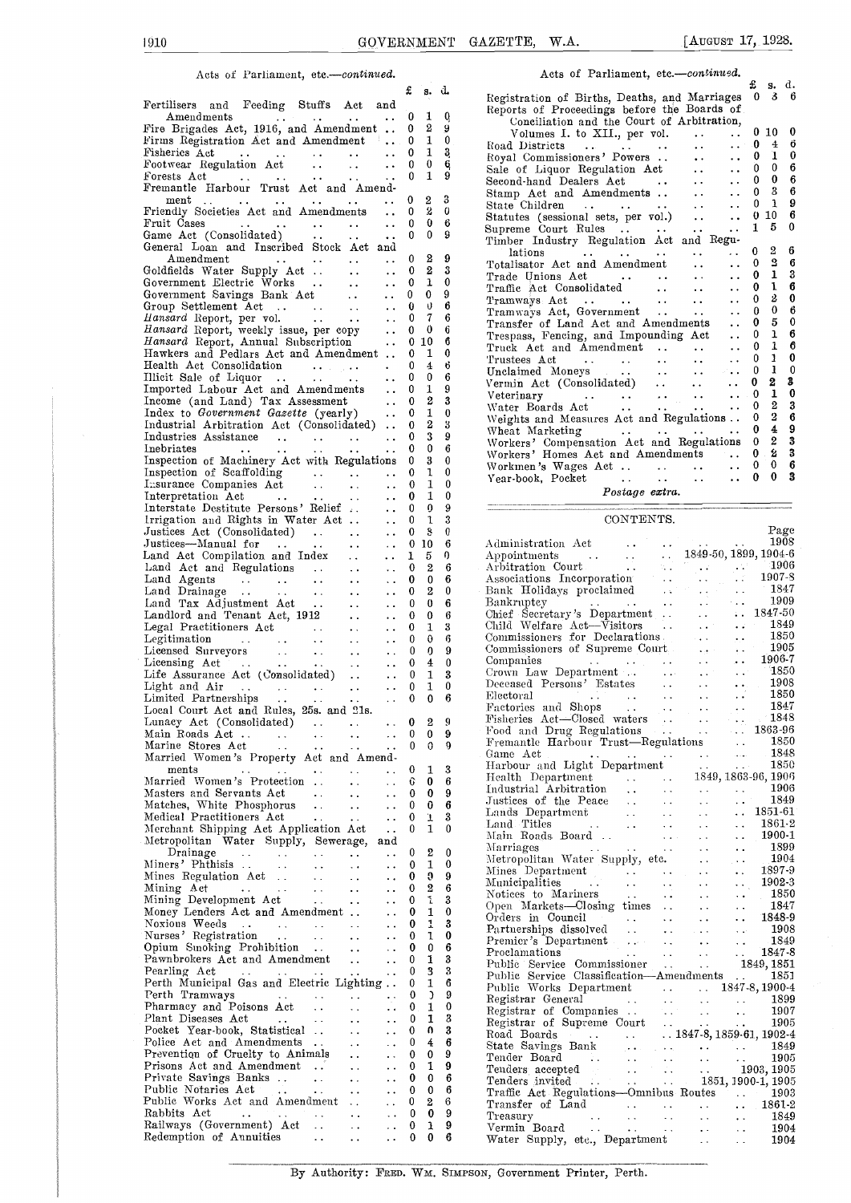### Acts of Parliament, etc .- continued.

|                                                                                                                                                                                                                                     |                                                           | £<br>s.               | d.     | R٥                               |
|-------------------------------------------------------------------------------------------------------------------------------------------------------------------------------------------------------------------------------------|-----------------------------------------------------------|-----------------------|--------|----------------------------------|
| Fertilisers and Feeding Stuffs Act and                                                                                                                                                                                              |                                                           |                       |        | R٥                               |
| Amendments<br>$\sim 100$<br>$\ddot{\phantom{1}}$ .                                                                                                                                                                                  | $\ddotsc$                                                 | 0<br>1                | 0      |                                  |
| Fire Brigades Act, 1916, and Amendment                                                                                                                                                                                              |                                                           | 2<br>0<br>1<br>0      | 9<br>0 |                                  |
| Firms Registration Act and Amendment<br>Fisheries Act                                                                                                                                                                               | $\ddot{\phantom{0}}$                                      | 1<br>0                | 3      | R.                               |
| Fisheries Act<br>Footwear Regulation Act<br>Forests Act<br>Act Act Act                                                                                                                                                              | $\ddot{\phantom{1}}$                                      | 0<br>$\bf{0}$         | 6      | R٥                               |
|                                                                                                                                                                                                                                     |                                                           | 1<br>0                | 9      | $\mathbf{s}$                     |
| Forests Act (Captain Contract Act and Amend-                                                                                                                                                                                        |                                                           |                       |        | Se<br>St                         |
| $_{\rm ment}$<br>$\ddotsc$                                                                                                                                                                                                          |                                                           | 0<br>2                | 3      | St                               |
| Friendly Societies Act and Amendments                                                                                                                                                                                               | $\ddots$                                                  | 2<br>0                | 0      | $^{\rm St}$                      |
|                                                                                                                                                                                                                                     | $\ddot{\phantom{1}}$                                      | 0<br>0<br>0<br>0      | 6<br>9 | Sυ                               |
| General Loan and Inscribed Stock Act and                                                                                                                                                                                            | $\ddot{\phantom{0}}$                                      |                       |        | Τi                               |
| $A$ mend $m$ ent<br>$\sim$ $\sim$<br>$\sim$ $\sim$                                                                                                                                                                                  | $\mathcal{A}(\mathbf{x})$ , and $\mathcal{A}(\mathbf{x})$ | 2<br>0                | 9      |                                  |
| Goldfields Water Supply Act                                                                                                                                                                                                         | $\ddot{\phantom{a}}$                                      | 2<br>0                | 3      | T                                |
| Government Electric Works<br>Government Savings Bank Act                                                                                                                                                                            | $\ddots$                                                  | ı<br>0                | 0      | Tı                               |
|                                                                                                                                                                                                                                     | $\ddot{\phantom{a}}$                                      | 0<br>0                | 9      | Tı                               |
| Group Settlement Act<br><i>Hansard</i> Report, per vol.                                                                                                                                                                             | $\ldots$                                                  | 0<br>U                | 6      | т<br>Tı                          |
|                                                                                                                                                                                                                                     | $\ddot{\phantom{a}}$ .                                    | 7<br>0                | 6      | T)                               |
| Hansard Report, weekly issue, per copy<br>Hansard Report, Annual Subscription                                                                                                                                                       |                                                           | 0<br>0                | 6      | Tı                               |
|                                                                                                                                                                                                                                     |                                                           | 010                   | б      | T)                               |
| Hawkers and Pedlars Act and Amendment<br>Health Act Consolidation                                                                                                                                                                   |                                                           | 1<br>0<br>4<br>0      | 0<br>6 | Tı                               |
|                                                                                                                                                                                                                                     | $\sim$ $\sim$                                             | 0<br>0                | 6      | U.                               |
|                                                                                                                                                                                                                                     |                                                           | 0<br>1                | 9      | V٤                               |
| Income (and Land) Tax Assessment                                                                                                                                                                                                    | $\ddot{\phantom{a}}$ .                                    | 2<br>0                | 3      | ٧ı                               |
| Income (and Land) Tax Assessment<br>Index to Government Gazette (yearly)                                                                                                                                                            |                                                           | 1<br>0                | 0      | W                                |
| Industrial Arbitration Act (Consolidated)                                                                                                                                                                                           |                                                           | 2<br>0                | 3      | W                                |
| Industrial Arbitration Accordination of the contract of the contract of the contract of the contract of the contract of the contract of the contract of the contract of the contract of the contract of the contract of the co      |                                                           | 3<br>0                | 9      | Ŵ                                |
|                                                                                                                                                                                                                                     |                                                           | 0<br>0                | 6      | W<br>W                           |
| Inspection of Machinery Act with Regulations                                                                                                                                                                                        |                                                           | 3<br>0                | 0      | W                                |
| Inspection of Scaffolding                                                                                                                                                                                                           | $\sim$ $\sim$                                             | ı<br>0                | 0      | Y,                               |
| Insurance Companies Act<br>$\sim 10^{-1}$<br>$\sim 10^{-11}$                                                                                                                                                                        | $\ddotsc$                                                 | 1<br>0                | 0      |                                  |
| Interpretation Act<br>$\Delta\Delta=0$<br>Interpretation Act<br>Interstate Destitute Persons' Relief                                                                                                                                | $\ddot{\phantom{0}}$                                      | 1<br>0                | 0      |                                  |
|                                                                                                                                                                                                                                     | $\ddotsc$                                                 | 0<br>0                | 9      |                                  |
| Irrigation and Rights in Water Act                                                                                                                                                                                                  | $\ddot{\phantom{a}}$ .                                    | 1<br>0                | 3      |                                  |
| Justices Act (Consolidated)<br>Justices-Manual for                                                                                                                                                                                  | $\ddot{\phantom{0}}$                                      | s<br>0                | 0<br>6 |                                  |
|                                                                                                                                                                                                                                     | $\sim$ $\sim$                                             | 10<br>0<br>5<br>ı     | 0      | А                                |
|                                                                                                                                                                                                                                     | $\ddot{\phantom{0}}$                                      | 2<br>0                | 6      | Αj<br>Aı                         |
|                                                                                                                                                                                                                                     | $\ddot{\phantom{1}}$ .<br>$\ddotsc$                       | 0<br>0                | 6      | A,                               |
|                                                                                                                                                                                                                                     | $\ddot{\phantom{0}}$                                      | 2<br>0                | 0      | $\mathbf{B}$                     |
|                                                                                                                                                                                                                                     | $\ddot{\phantom{a}}$                                      | 0<br>0                | 6      | $\mathrm{B} \mathrm{t}$          |
|                                                                                                                                                                                                                                     | $\ddot{\phantom{0}}$                                      | 0<br>0                | 6      | Cŀ.                              |
| Legal Practitioners Act<br>Legitimation<br>Case of Carlo Contract Contract Contract Contract Contract Contract Contract Contract Contract Contract Contract Contract Contract Contract Contract Contract Contract Contract Contract | $\ddot{\phantom{0}}$                                      | 1<br>0                | 3      | CI:                              |
| $\sim 100$                                                                                                                                                                                                                          | $\ddot{\phantom{0}}$                                      | 0<br>0                | 6      | $_{\rm{Cc}}$                     |
|                                                                                                                                                                                                                                     | $\sim$ $\sim$                                             | 0<br>0                | 9      | $_{\rm Co}$                      |
|                                                                                                                                                                                                                                     | $\ddot{\phantom{1}}$ .                                    | 4<br>0                | 0      | Сc                               |
| Life Assurance Act (Consolidated).<br>Light and Air                                                                                                                                                                                 | $\ddot{\phantom{1}}$ .                                    | 0<br>1                | 3      | Сr<br>$\mathbf{D}$               |
|                                                                                                                                                                                                                                     | $\ddot{\phantom{a}}$ .                                    | 1<br>0                | 0      | Е1                               |
| Local Court Act and Rules, 25s. and 21s.                                                                                                                                                                                            | $\ddot{\phantom{0}}$                                      | $\bf{0}$<br>0         | 6      | $\mathbf{F}_{\mathbf{t}}$        |
| Lunacy Act (Consolidated)                                                                                                                                                                                                           |                                                           | $\boldsymbol{2}$<br>0 | ä      | Fi                               |
| Main Roads Act<br>$\epsilon$ .<br>$\sim$ $\sim$<br>$\ddot{\phantom{0}}$                                                                                                                                                             |                                                           | 0<br>0                | 9      | F                                |
| Marine Stores Act<br>$\mathbf{1}$ , and $\mathbf{1}$ , and $\mathbf{1}$<br>$\ddot{\phantom{1}}$ .                                                                                                                                   | . .                                                       | 0<br>0                | 9      | $\mathbf{F}_1$                   |
| Married Women's Property Act and Amend-                                                                                                                                                                                             |                                                           |                       |        | G.                               |
| $_{\rm{ments}}$<br>. .<br>Ω.                                                                                                                                                                                                        |                                                           | 0<br>1                | 3      | Η.                               |
| Married Women's Protection<br>$\ddot{\phantom{a}}$<br>. .                                                                                                                                                                           | $\ddotsc$                                                 | Û<br>0                | 6      | Η,                               |
| Masters and Servants Act<br>$\sim$ .<br>$\ddot{\phantom{0}}$                                                                                                                                                                        |                                                           | 0<br>0                | 9      | Ιn<br>Jτ                         |
| Masters and Social Bhosphorus<br>Matches, White Phosphorus<br>$\ddot{\phantom{a}}$ .<br>$\ddot{\phantom{1}}$                                                                                                                        | $\ddot{\phantom{0}}$                                      | 0<br>0                | 6      | Lε                               |
| Medical Practitioners Act<br>$\bullet$ $\bullet$ .<br>$\ddot{\phantom{a}}$                                                                                                                                                          | $\ddot{\phantom{0}}$                                      | ï<br>0                | 3      | Ιń                               |
| Merchant Shipping Act Application Act                                                                                                                                                                                               | $\ddot{\phantom{0}}$                                      | 1<br>0                | 0      | М                                |
| Metropolitan Water Supply, Sewerage,<br>Drainage                                                                                                                                                                                    | and                                                       | 2<br>0                | 0      | М                                |
| $\frac{1}{2}$<br>$\sim 100$<br>$\sim$ $\sim$<br>$\ddot{\phantom{0}}$<br>Miners' Phthisis<br>$\sim$ $\sim$                                                                                                                           | $\ddot{\phantom{0}}$<br>$\ddot{\phantom{0}}$              | 1<br>0                | 0      | М                                |
| $\ddot{\phantom{1}}$<br>$\ddot{\phantom{0}}$<br>Mines Regulation Act<br>$\sim 10$<br>$\ddot{\phantom{0}}$                                                                                                                           | . .                                                       | O<br>0                | 9      | М                                |
| Mining Act<br>$\mathcal{L}^{\mathcal{L}}$ and $\mathcal{L}^{\mathcal{L}}$ and $\mathcal{L}^{\mathcal{L}}$ and $\mathcal{L}^{\mathcal{L}}$<br>$\sim$ $\sim$<br>$\sim$ $\sim$<br>$\ddot{\phantom{0}}$                                 | . .                                                       | 2<br>0                | 6      | М                                |
| Mining Development Act<br>$\sim 100$ km $^{-1}$<br>$\ddot{\phantom{0}}$                                                                                                                                                             | . .                                                       | ı<br>0                | 3      | N,                               |
| Money Lenders Act and Amendment                                                                                                                                                                                                     | . .                                                       | 0<br>1                | 0      | O <sub>l</sub>                   |
| Noxious Weeds<br>$\sim 100$<br>$\sim 100$ km s $^{-1}$<br>$\sim$ $ \sim$ $\sim$<br>$\ddotsc$                                                                                                                                        | . .                                                       | 1<br>0                | 3      | O <sub>1</sub><br>$\mathbf{P}_t$ |
| $\sim$ 14<br>Nurses' Registration<br>Nurses Registration<br>Opium Sunoking Prohibition<br>$\ddot{\phantom{0}}$                                                                                                                      | . .                                                       | 1<br>0                | 0      | P1                               |
| $\ddot{\phantom{0}}$                                                                                                                                                                                                                |                                                           | 0<br>0                | 6      | $\mathbf{P}_1$                   |
| Pawnbrokers Act and Amendment<br>$\ddot{\phantom{1}}$                                                                                                                                                                               | $\ddot{\phantom{0}}$                                      | 1<br>0                | 3      | $\mathbf{P}_{\mathbf{t}}$        |
| Pearling Act<br>$\sim 10$<br>$\sim 100$ km s $^{-1}$<br>$\ddot{\phantom{0}}$<br>$\sim$ $\sim$                                                                                                                                       | $\ddot{\phantom{0}}$                                      | 3<br>0                | 3      | P۱                               |
| Perth Municipal Gas and Electric Lighting<br>Perth Tramways                                                                                                                                                                         |                                                           | 1<br>0<br>0           | 6<br>9 | $_{\rm P}$                       |
| $\sim$<br>$\sim$<br>Pharmacy and Poisons Act<br>$\sim$ .<br>έċ.                                                                                                                                                                     | $\ddot{\phantom{1}}$ .<br>$\ddot{\phantom{0}}$            | C<br>1<br>0           | 0      | $\mathbf{R}$                     |
| Plant Diseases Act<br>$\sim$ $\sim$<br>$\sim$ 100 $\pm$<br>$\ddot{\phantom{0}}$                                                                                                                                                     | $\ddotsc$                                                 | 1<br>0                | 3      | $\mathbf{R}$                     |
| Pocket Year-book, Statistical<br>. .                                                                                                                                                                                                | . .                                                       | 0<br>0                | 3      | R٥                               |
| Police Act and Amendments<br>$\ddot{\phantom{0}}$                                                                                                                                                                                   | $\ddot{\phantom{0}}$                                      | 0<br>4                | 6      | Rα<br>$^{\rm St}$                |
| Prevention of Cruelty to Animals<br>$\ddot{\phantom{0}}$                                                                                                                                                                            | μ.                                                        | 0<br>0                | 9      | T)                               |
| Prisons Act and Amendment<br>$\ddot{\phantom{a}}$                                                                                                                                                                                   | $\ddot{\phantom{0}}$                                      | 1<br>0                | 9      | Т                                |
| Private Savings Banks<br>$\sim$ $\sim$<br>$\ddot{\phantom{0}}$                                                                                                                                                                      | . .                                                       | 0<br>0                | 6      | T)                               |
| Public Notaries Act<br>$\ddot{\phantom{a}}$ .<br>$\ddot{\phantom{0}}$                                                                                                                                                               | . .                                                       | 0<br>0                | 6      | T)                               |
| Public Works Act and Amendment<br>. .                                                                                                                                                                                               | . .                                                       | 2<br>0                | 6      | Tı                               |
| Rabbits Act<br>. .<br>. .                                                                                                                                                                                                           | . .                                                       | 0<br>0                | 9      | т                                |
| Railways (Government) Act<br>. .<br>Redemption of Annuities                                                                                                                                                                         |                                                           | 0<br>1<br>0           | 9<br>6 | V)                               |
| $\ddot{\phantom{1}}$ .<br>$\ddot{\phantom{1}}$                                                                                                                                                                                      |                                                           | 0                     |        | W                                |

Acts of Parliament, etc.-continued.<br>\$ s. d.<br>ion of Births. Deaths, and Marriages  $\begin{bmatrix} 0 & 3 & 6 \end{bmatrix}$ Registration of Births, Deaths, and Marriages 0 3 6<br>
0 Reports of Proceedings before the Boards of<br>
0 Conciliation and the Court of Arbitration,<br>
0 2 i Volumes I. to XII., per vol. . . . . 0 10 0<br>
0 2 i volumes I. to XII., Road Districts . . . . . . . . 0  $\frac{4}{5}$  6 Royal Commissioners' Powers . . . . 0 1 0 Sale of Liquor Regulation Act . . . . 0 0 6<br>Second-hand Dealers Act . . . . . . 0 0 6<br>Stamp Act and Amendments . . . . . 0 3 6 Stamp Act and Amendments . . . . . . . 0 3 6<br>State Children . . . . . . . . 0 1 9 <sup>0</sup> <sup>2</sup> <sup>0</sup> State Children . . . . . . <sup>0</sup> <sup>1</sup> <sup>9</sup> Statutes (sessional sets, per vol.) . . . . 0 10 <sup>6</sup> Supreme Court Rules . . .. . . . . <sup>1</sup> <sup>5</sup> <sup>0</sup> 0 0 6 Timber Industry Regulation Act and Regulations . <sup>0</sup> <sup>2</sup> <sup>6</sup> Totalisator Act and Amendment <sup>0</sup> <sup>2</sup> <sup>6</sup> 0 2 9  $\begin{array}{ccccccc}\n0 & 2 & 3 \\
0 & 1 & 0\n\end{array}$  Trade Unions Act . . . . . . . . . 0 1 3  $\begin{array}{ccccccccc}\n0 & & \text{Trade Unions Act} & & \dots & \dots & \dots & 0 & 1 & 3 \\
0 & & \text{Traffic Act Consolidated} & & \dots & \dots & 0 & 1 & 6 \\
0 & & \text{Transways Act} & & \dots & \dots & \dots & 0 & 2 & 0 \\
0 & & & \text{Transverse Not} & & \dots & \dots & 0 & 0 & 0 \\
0 & & & \dots & & \dots & & \dots & 0 & 0 & 0 \\
0 & & & \dots & & & \dots & & \dots & 0 & 0 & 0\n\end{array}$  $\begin{array}{ccccccccc}\n 9 & & & \text{Transways Act} & . & . & . & . & . & . & 0 & 2 & 0 \\
 6 & & & \text{Transways Act} & . & . & . & . & . & . & 0 & 0 & 6 \\
 6 & & & \text{Transways Act} & \text{Government} & . & . & . & . & 0 & 0 & 6 \\
 6 & & & & \text{Transverse} & . & . & . & . & 0 & 5 & 0\n \end{array}$ 0 1 Fransfer of Land Act and Amendments . . 0 5 0<br>
8 Transfer of Land Act and Impounding Act . . 0 1 6 <sup>0</sup> 6 Trespass, Fencing, and Impounding Act .. 0 1 6<br>
0 Truck Act and Amendment ... ... 0 1 6<br>
1 Trustees Act ... ... ... 0 1 0 Truck Act and Amendment ..  $\ldots$  .. 0 1 6<br>Trustees Act .. .. .. .. .. 0 1 0 Trustees Act . . . . . . . . 0 1 0  $\begin{array}{ccccccccc}\n0 & 0 & 6 \\
0 & 0 & 6\n\end{array}$  Unclaimed Moneys ...... ... ... 0 1 0 Unclaimed Moneys<br>
Vermin Act (Consolidated) ... ... 0 2 8<br>
Veterinary<br>  $\begin{array}{ccccccc}\n\vdots & \vdots & \vdots & \vdots & \vdots & \vdots & \vdots & \vdots \\
\vdots & \vdots & \vdots & \vdots & \vdots & \vdots & \vdots & \vdots & \vdots \\
\vdots & \vdots & \vdots & \vdots & \vdots & \vdots & \vdots & \vdots & \vdots \\
\vdots & \vdots & \vdots & \vdots & \vdots & \vdots & \vdots & \vdots & \vdots \\$  $\begin{array}{ccccccccc}\ng & & & \text{Vermin Act (Consoniaated)} & \cdots & \cdots & \cdots & 0 & 1 & 0 \\
3 & & & \text{Veterinary} & & \cdots & \cdots & \cdots & 0 & 1 & 0 \\
0 & & & \text{Water } \text{Boards } \text{Act} & & & \cdots & \cdots & 0 & 2 & 3 \\
0 & & & & \cdots & 0 & 0 & 2 & 3\n\end{array}$ Water Boards Act ... ...  $\therefore$  ... 0 2 3  $\frac{0}{0}$   $\frac{1}{2}$   $\frac{0}{3}$  Weights and Measures Act and Regulations . 0 2 6<br>0 4 9  $\begin{array}{ccccccccc}\n0 & 2 & 3 & & \text{Wheat} & \text{Marketting} & & \dots & \dots & \dots & 0 & 4 & 9 \\
0 & 3 & 9 & & \text{Wortex'} & \text{Comparison} & \text{Act and Regulations} & 0 & 2 & 3 \\
0 & 0 & 6 & & \text{Wortex'} & \text{Homes} & \text{Act and Amerdments} & & 0 & 2 & 3\n\end{array}$ Workers' Homes Act and Amendments .. 0 2 3<br>Workmen's Wages Act .. . . . . 0 0 6<br>Year-book, Pocket .. . . . . 0 0 3

Postage extra.

### CONTENTS.

Page

| v. | ಾ              | v              |                                                                                                                                                                                                                                                                                                                                                                                                                                                                                                 |
|----|----------------|----------------|-------------------------------------------------------------------------------------------------------------------------------------------------------------------------------------------------------------------------------------------------------------------------------------------------------------------------------------------------------------------------------------------------------------------------------------------------------------------------------------------------|
|    | 0 10           | 6              |                                                                                                                                                                                                                                                                                                                                                                                                                                                                                                 |
| ı  | 5              | 0              |                                                                                                                                                                                                                                                                                                                                                                                                                                                                                                 |
| 0  | $\,2\,$        | 6              | $\mathcal{L}$                                                                                                                                                                                                                                                                                                                                                                                                                                                                                   |
| 0  | $\bf{0}$       | 6              |                                                                                                                                                                                                                                                                                                                                                                                                                                                                                                 |
| 0  | $\overline{2}$ | 0              |                                                                                                                                                                                                                                                                                                                                                                                                                                                                                                 |
| 0  | $\bf{0}$       | 6              |                                                                                                                                                                                                                                                                                                                                                                                                                                                                                                 |
|    |                |                |                                                                                                                                                                                                                                                                                                                                                                                                                                                                                                 |
| 0  | 0              | 6              |                                                                                                                                                                                                                                                                                                                                                                                                                                                                                                 |
| 0  | 1              | 3              |                                                                                                                                                                                                                                                                                                                                                                                                                                                                                                 |
| 0  | 0              | 6              |                                                                                                                                                                                                                                                                                                                                                                                                                                                                                                 |
| 0  | 0              | 9              |                                                                                                                                                                                                                                                                                                                                                                                                                                                                                                 |
| 0  | $\overline{4}$ | 0              |                                                                                                                                                                                                                                                                                                                                                                                                                                                                                                 |
| 0  | $\mathbf{1}$   | 3              |                                                                                                                                                                                                                                                                                                                                                                                                                                                                                                 |
| 0  | 1              | 0              |                                                                                                                                                                                                                                                                                                                                                                                                                                                                                                 |
| 0  | $\bf{0}$       | 6              |                                                                                                                                                                                                                                                                                                                                                                                                                                                                                                 |
|    |                |                |                                                                                                                                                                                                                                                                                                                                                                                                                                                                                                 |
|    |                |                |                                                                                                                                                                                                                                                                                                                                                                                                                                                                                                 |
| 0  | $\overline{2}$ | 9              |                                                                                                                                                                                                                                                                                                                                                                                                                                                                                                 |
| 0  | 0              | 9              |                                                                                                                                                                                                                                                                                                                                                                                                                                                                                                 |
| 0  | 0              | 9              |                                                                                                                                                                                                                                                                                                                                                                                                                                                                                                 |
|    |                |                |                                                                                                                                                                                                                                                                                                                                                                                                                                                                                                 |
| 0  | 1              | 3              |                                                                                                                                                                                                                                                                                                                                                                                                                                                                                                 |
| Û  | 0              | 6              |                                                                                                                                                                                                                                                                                                                                                                                                                                                                                                 |
|    | 0              | 9              |                                                                                                                                                                                                                                                                                                                                                                                                                                                                                                 |
| 0  |                |                |                                                                                                                                                                                                                                                                                                                                                                                                                                                                                                 |
| 0  | 0              | 6              |                                                                                                                                                                                                                                                                                                                                                                                                                                                                                                 |
| 0  | T              | 3              |                                                                                                                                                                                                                                                                                                                                                                                                                                                                                                 |
| 0  | 1              | 0              |                                                                                                                                                                                                                                                                                                                                                                                                                                                                                                 |
|    |                |                |                                                                                                                                                                                                                                                                                                                                                                                                                                                                                                 |
| 0  | $\,2$          | 0              |                                                                                                                                                                                                                                                                                                                                                                                                                                                                                                 |
| 0  | $\mathbf{1}$   | 0              |                                                                                                                                                                                                                                                                                                                                                                                                                                                                                                 |
| 0  | Û              | 9              |                                                                                                                                                                                                                                                                                                                                                                                                                                                                                                 |
| 0  | $\mathbf 2$    | 6              |                                                                                                                                                                                                                                                                                                                                                                                                                                                                                                 |
|    | ī              | 3              |                                                                                                                                                                                                                                                                                                                                                                                                                                                                                                 |
| 0  |                |                |                                                                                                                                                                                                                                                                                                                                                                                                                                                                                                 |
| 0  | $\mathbf{1}$   | 0              |                                                                                                                                                                                                                                                                                                                                                                                                                                                                                                 |
| 0  | 1              | 3              |                                                                                                                                                                                                                                                                                                                                                                                                                                                                                                 |
| 0  | $\mathbf{I}$   | 0              |                                                                                                                                                                                                                                                                                                                                                                                                                                                                                                 |
| 0  | 0              | 6              |                                                                                                                                                                                                                                                                                                                                                                                                                                                                                                 |
| 0  | 1              | 3              |                                                                                                                                                                                                                                                                                                                                                                                                                                                                                                 |
| 0  | 3              | $\overline{3}$ |                                                                                                                                                                                                                                                                                                                                                                                                                                                                                                 |
| 0  | $\mathbf{1}$   | 6              |                                                                                                                                                                                                                                                                                                                                                                                                                                                                                                 |
|    |                |                |                                                                                                                                                                                                                                                                                                                                                                                                                                                                                                 |
| 0  | $\mathfrak{I}$ | 9              |                                                                                                                                                                                                                                                                                                                                                                                                                                                                                                 |
| 0  | 1              | 0              |                                                                                                                                                                                                                                                                                                                                                                                                                                                                                                 |
| 0  | $\mathbf{1}$   | 3              |                                                                                                                                                                                                                                                                                                                                                                                                                                                                                                 |
| 0  | 0              | 3              |                                                                                                                                                                                                                                                                                                                                                                                                                                                                                                 |
| 0  | 4              | 6              |                                                                                                                                                                                                                                                                                                                                                                                                                                                                                                 |
| 0  | 0              | 9              |                                                                                                                                                                                                                                                                                                                                                                                                                                                                                                 |
| 0  | 1              | 9              |                                                                                                                                                                                                                                                                                                                                                                                                                                                                                                 |
| 0  | 0              | 6              |                                                                                                                                                                                                                                                                                                                                                                                                                                                                                                 |
|    |                |                |                                                                                                                                                                                                                                                                                                                                                                                                                                                                                                 |
| 0  | 0              | 6              |                                                                                                                                                                                                                                                                                                                                                                                                                                                                                                 |
| 0  | 2              | 6              |                                                                                                                                                                                                                                                                                                                                                                                                                                                                                                 |
| 0  | 0              | 9              |                                                                                                                                                                                                                                                                                                                                                                                                                                                                                                 |
| 0  | $\mathbf{1}$   | 9              |                                                                                                                                                                                                                                                                                                                                                                                                                                                                                                 |
| 0  | 0              | 6              | $\begin{tabular}{0.9\textwidth} {\bf Adminisation Act} \\ \textbf{A} \textit{A} \textit{minisation} \\ \textbf{A} \textit{Arbitration} \\ \textbf{B} \textit{and} \\ \textbf{B} \textit{and} \\ \textbf{B} \textit{and} \\ \textbf{B} \textit{and} \\ \textbf{B} \textit{and} \\ \textbf{B} \textit{and} \\ \textbf{B} \textit{and} \\ \textbf{B} \textit{and} \\ \textbf{B} \textit{and} \\ \textbf{B} \textit{and} \\ \textbf{B} \textit{and} \\ \textbf{B} \textit{and} \\ \textbf{B} \text$ |
|    |                |                |                                                                                                                                                                                                                                                                                                                                                                                                                                                                                                 |

By Authority: FRED. WM. SIMPSON, Government Printer, Perth.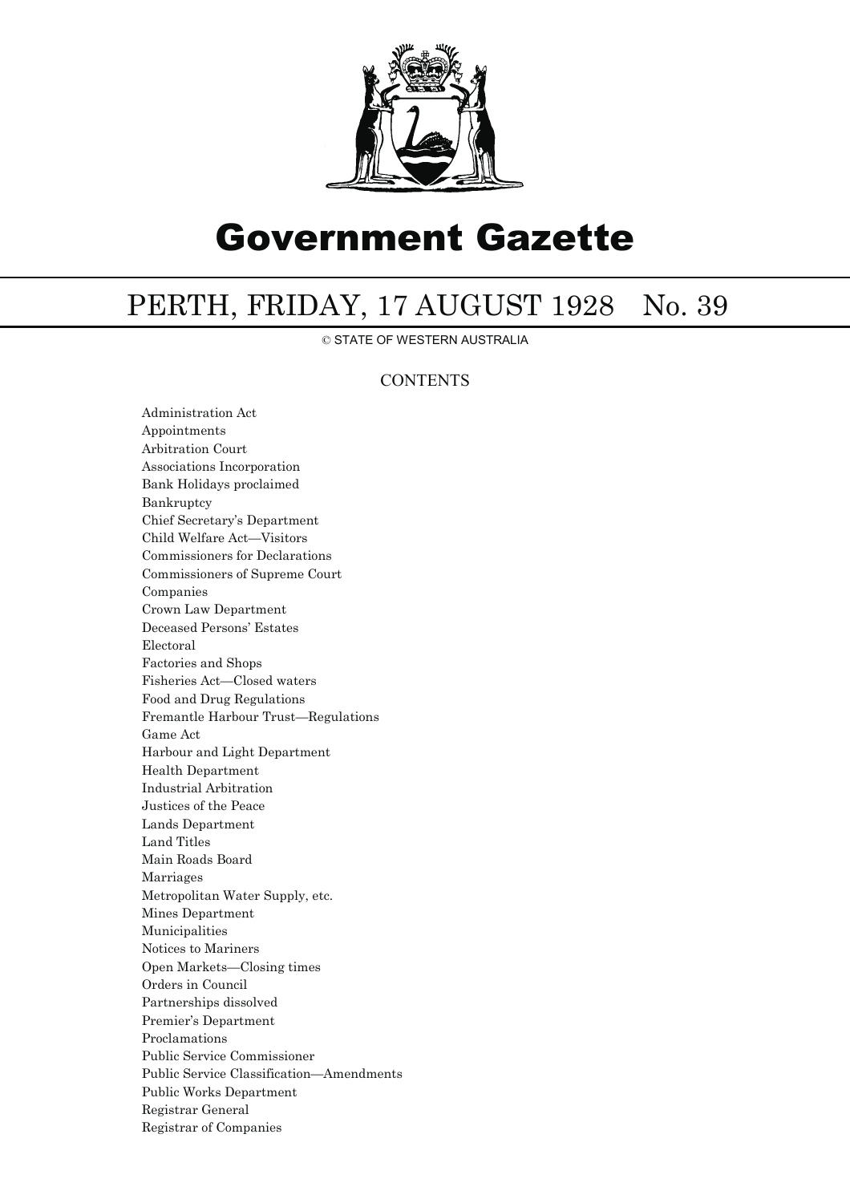

# Government Gazette

## PERTH, FRIDAY, 17 AUGUST 1928 No. 39

© STATE OF WESTERN AUSTRALIA

### **CONTENTS**

Administration Act Appointments Arbitration Court Associations Incorporation Bank Holidays proclaimed Bankruptcy Chief Secretary's Department Child Welfare Act—Visitors Commissioners for Declarations Commissioners of Supreme Court Companies Crown Law Department Deceased Persons' Estates Electoral Factories and Shops Fisheries Act—Closed waters Food and Drug Regulations Fremantle Harbour Trust—Regulations Game Act Harbour and Light Department Health Department Industrial Arbitration Justices of the Peace Lands Department Land Titles Main Roads Board Marriages Metropolitan Water Supply, etc. Mines Department Municipalities Notices to Mariners Open Markets—Closing times Orders in Council Partnerships dissolved Premier's Department Proclamations Public Service Commissioner Public Service Classification—Amendments Public Works Department Registrar General Registrar of Companies